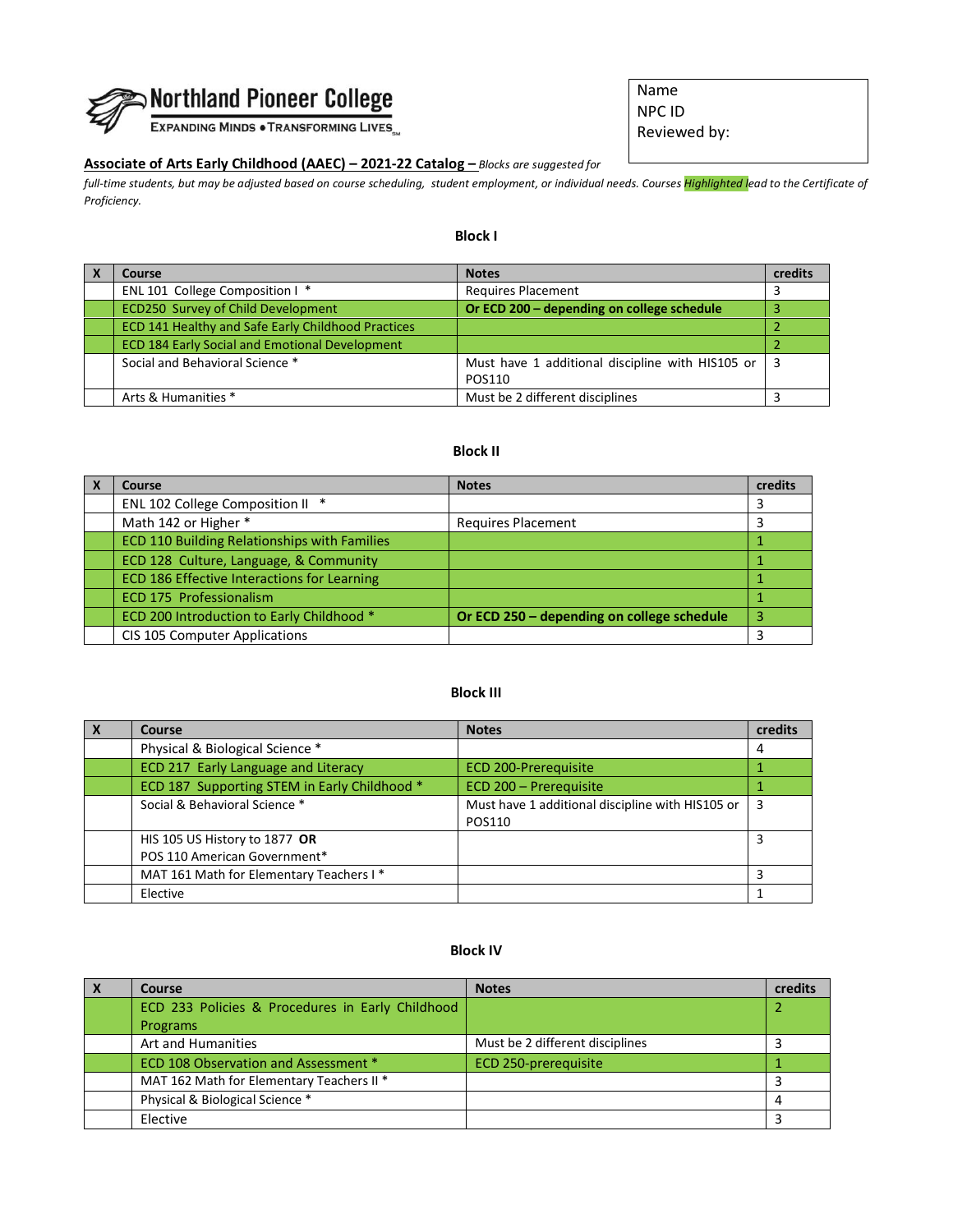

EXPANDING MINDS . TRANSFORMING LIVES

# **Associate of Arts Early Childhood (AAEC) – 2021-22 Catalog –** *Blocks are suggested for*

*full-time students, but may be adjusted based on course scheduling, student employment, or individual needs. Courses Highlighted lead to the Certificate of Proficiency.* 

## **Block I**

| Course                                                | <b>Notes</b>                                     | credits |
|-------------------------------------------------------|--------------------------------------------------|---------|
| ENL 101 College Composition I *                       | <b>Requires Placement</b>                        |         |
| <b>ECD250 Survey of Child Development</b>             | Or ECD 200 – depending on college schedule       |         |
| ECD 141 Healthy and Safe Early Childhood Practices    |                                                  |         |
| <b>ECD 184 Early Social and Emotional Development</b> |                                                  |         |
| Social and Behavioral Science *                       | Must have 1 additional discipline with HIS105 or |         |
|                                                       | POS110                                           |         |
| Arts & Humanities *                                   | Must be 2 different disciplines                  |         |

#### **Block II**

| Course                                       | <b>Notes</b>                               | credits |
|----------------------------------------------|--------------------------------------------|---------|
| ENL 102 College Composition II *             |                                            |         |
| Math 142 or Higher *                         | <b>Requires Placement</b>                  |         |
| ECD 110 Building Relationships with Families |                                            |         |
| ECD 128 Culture, Language, & Community       |                                            |         |
| ECD 186 Effective Interactions for Learning  |                                            |         |
| ECD 175 Professionalism                      |                                            |         |
| ECD 200 Introduction to Early Childhood *    | Or ECD 250 - depending on college schedule | 3       |
| CIS 105 Computer Applications                |                                            |         |

### **Block III**

| $\mathbf{x}$ | Course                                       | <b>Notes</b>                                     | credits |
|--------------|----------------------------------------------|--------------------------------------------------|---------|
|              | Physical & Biological Science *              |                                                  | 4       |
|              | ECD 217 Early Language and Literacy          | <b>ECD 200-Prerequisite</b>                      |         |
|              | ECD 187 Supporting STEM in Early Childhood * | ECD 200 - Prerequisite                           |         |
|              | Social & Behavioral Science *                | Must have 1 additional discipline with HIS105 or | 3       |
|              |                                              | POS110                                           |         |
|              | HIS 105 US History to 1877 OR                |                                                  |         |
|              | POS 110 American Government*                 |                                                  |         |
|              | MAT 161 Math for Elementary Teachers I*      |                                                  |         |
|              | Elective                                     |                                                  |         |

#### **Block IV**

| $\boldsymbol{\lambda}$ | Course                                           | <b>Notes</b>                    | credits |
|------------------------|--------------------------------------------------|---------------------------------|---------|
|                        | ECD 233 Policies & Procedures in Early Childhood |                                 |         |
|                        | Programs                                         |                                 |         |
|                        | Art and Humanities                               | Must be 2 different disciplines |         |
|                        | ECD 108 Observation and Assessment *             | ECD 250-prerequisite            |         |
|                        | MAT 162 Math for Elementary Teachers II *        |                                 |         |
|                        | Physical & Biological Science *                  |                                 |         |
|                        | Elective                                         |                                 |         |

Name NPC ID Reviewed by: